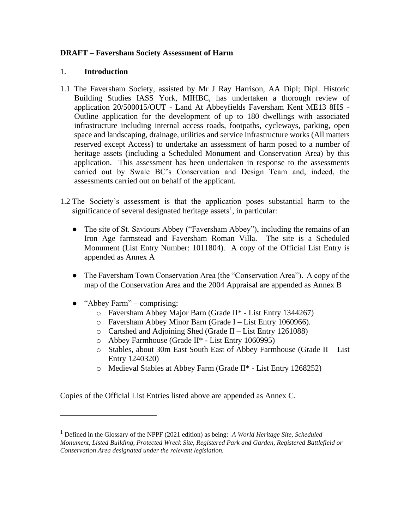### **DRAFT – Faversham Society Assessment of Harm**

#### 1. **Introduction**

- 1.1 The Faversham Society, assisted by Mr J Ray Harrison, AA Dipl; Dipl. Historic Building Studies IASS York, MIHBC, has undertaken a thorough review of application 20/500015/OUT - Land At Abbeyfields Faversham Kent ME13 8HS - Outline application for the development of up to 180 dwellings with associated infrastructure including internal access roads, footpaths, cycleways, parking, open space and landscaping, drainage, utilities and service infrastructure works (All matters reserved except Access) to undertake an assessment of harm posed to a number of heritage assets (including a Scheduled Monument and Conservation Area) by this application. This assessment has been undertaken in response to the assessments carried out by Swale BC's Conservation and Design Team and, indeed, the assessments carried out on behalf of the applicant.
- 1.2 The Society's assessment is that the application poses substantial harm to the significance of several designated heritage assets<sup>1</sup>, in particular:
	- The site of St. Saviours Abbey ("Faversham Abbey"), including the remains of an Iron Age farmstead and Faversham Roman Villa. The site is a Scheduled Monument (List Entry Number: 1011804). A copy of the Official List Entry is appended as Annex A
	- The Faversham Town Conservation Area (the "Conservation Area"). A copy of the map of the Conservation Area and the 2004 Appraisal are appended as Annex B
	- "Abbey Farm" comprising:
		- o Faversham Abbey Major Barn (Grade II\* List Entry 1344267)
		- o Faversham Abbey Minor Barn (Grade I List Entry 1060966).
		- o Cartshed and Adjoining Shed (Grade II List Entry 1261088)
		- o Abbey Farmhouse (Grade II\* List Entry 1060995)
		- o Stables, about 30m East South East of Abbey Farmhouse (Grade II List Entry 1240320)
		- o Medieval Stables at Abbey Farm (Grade II\* List Entry 1268252)

Copies of the Official List Entries listed above are appended as Annex C.

<sup>1</sup> Defined in the Glossary of the NPPF (2021 edition) as being: *A World Heritage Site, Scheduled Monument, Listed Building, Protected Wreck Site, Registered Park and Garden, Registered Battlefield or Conservation Area designated under the relevant legislation.*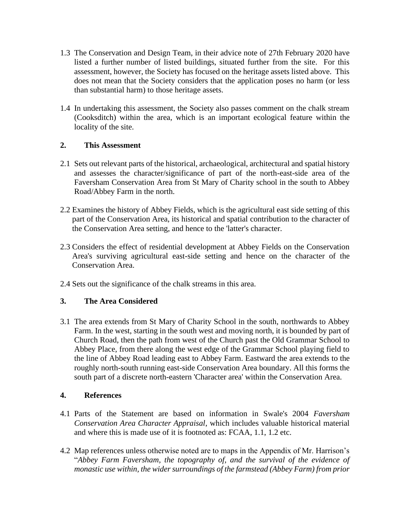- 1.3 The Conservation and Design Team, in their advice note of 27th February 2020 have listed a further number of listed buildings, situated further from the site. For this assessment, however, the Society has focused on the heritage assets listed above. This does not mean that the Society considers that the application poses no harm (or less than substantial harm) to those heritage assets.
- 1.4 In undertaking this assessment, the Society also passes comment on the chalk stream (Cooksditch) within the area, which is an important ecological feature within the locality of the site.

## **2. This Assessment**

- 2.1 Sets out relevant parts of the historical, archaeological, architectural and spatial history and assesses the character/significance of part of the north-east-side area of the Faversham Conservation Area from St Mary of Charity school in the south to Abbey Road/Abbey Farm in the north.
- 2.2 Examines the history of Abbey Fields, which is the agricultural east side setting of this part of the Conservation Area, its historical and spatial contribution to the character of the Conservation Area setting, and hence to the 'latter's character.
- 2.3 Considers the effect of residential development at Abbey Fields on the Conservation Area's surviving agricultural east-side setting and hence on the character of the Conservation Area.
- 2.4 Sets out the significance of the chalk streams in this area.

# **3. The Area Considered**

3.1 The area extends from St Mary of Charity School in the south, northwards to Abbey Farm. In the west, starting in the south west and moving north, it is bounded by part of Church Road, then the path from west of the Church past the Old Grammar School to Abbey Place, from there along the west edge of the Grammar School playing field to the line of Abbey Road leading east to Abbey Farm. Eastward the area extends to the roughly north-south running east-side Conservation Area boundary. All this forms the south part of a discrete north-eastern 'Character area' within the Conservation Area.

## **4. References**

- 4.1 Parts of the Statement are based on information in Swale's 2004 *Faversham Conservation Area Character Appraisal*, which includes valuable historical material and where this is made use of it is footnoted as: FCAA, 1.1, 1.2 etc.
- 4.2 Map references unless otherwise noted are to maps in the Appendix of Mr. Harrison's "*Abbey Farm Faversham, the topography of, and the survival of the evidence of monastic use within, the wider surroundings of the farmstead (Abbey Farm) from prior*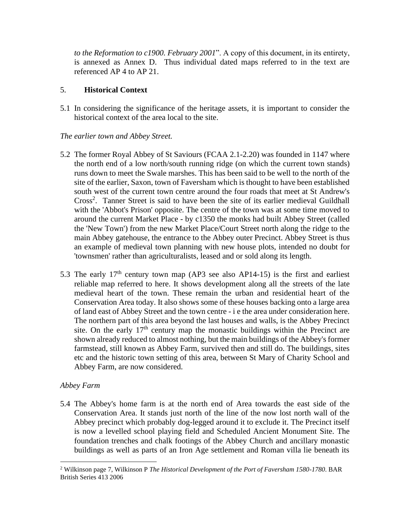*to the Reformation to c1900. February 2001*". A copy of this document, in its entirety, is annexed as Annex D. Thus individual dated maps referred to in the text are referenced AP 4 to AP 21.

### 5. **Historical Context**

5.1 In considering the significance of the heritage assets, it is important to consider the historical context of the area local to the site.

## *The earlier town and Abbey Street.*

- 5.2 The former Royal Abbey of St Saviours (FCAA 2.1-2.20) was founded in 1147 where the north end of a low north/south running ridge (on which the current town stands) runs down to meet the Swale marshes. This has been said to be well to the north of the site of the earlier, Saxon, town of Faversham which is thought to have been established south west of the current town centre around the four roads that meet at St Andrew's Cross<sup>2</sup>. Tanner Street is said to have been the site of its earlier medieval Guildhall with the 'Abbot's Prison' opposite. The centre of the town was at some time moved to around the current Market Place - by c1350 the monks had built Abbey Street (called the 'New Town') from the new Market Place/Court Street north along the ridge to the main Abbey gatehouse, the entrance to the Abbey outer Precinct. Abbey Street is thus an example of medieval town planning with new house plots, intended no doubt for 'townsmen' rather than agriculturalists, leased and or sold along its length.
- 5.3 The early  $17<sup>th</sup>$  century town map (AP3 see also AP14-15) is the first and earliest reliable map referred to here. It shows development along all the streets of the late medieval heart of the town. These remain the urban and residential heart of the Conservation Area today. It also shows some of these houses backing onto a large area of land east of Abbey Street and the town centre - i e the area under consideration here. The northern part of this area beyond the last houses and walls, is the Abbey Precinct site. On the early  $17<sup>th</sup>$  century map the monastic buildings within the Precinct are shown already reduced to almost nothing, but the main buildings of the Abbey's former farmstead, still known as Abbey Farm, survived then and still do. The buildings, sites etc and the historic town setting of this area, between St Mary of Charity School and Abbey Farm, are now considered.

## *Abbey Farm*

5.4 The Abbey's home farm is at the north end of Area towards the east side of the Conservation Area. It stands just north of the line of the now lost north wall of the Abbey precinct which probably dog-legged around it to exclude it. The Precinct itself is now a levelled school playing field and Scheduled Ancient Monument Site. The foundation trenches and chalk footings of the Abbey Church and ancillary monastic buildings as well as parts of an Iron Age settlement and Roman villa lie beneath its

<sup>2</sup> Wilkinson page 7, Wilkinson P *The Historical Development of the Port of Faversham 1580-1780*. BAR British Series 413 2006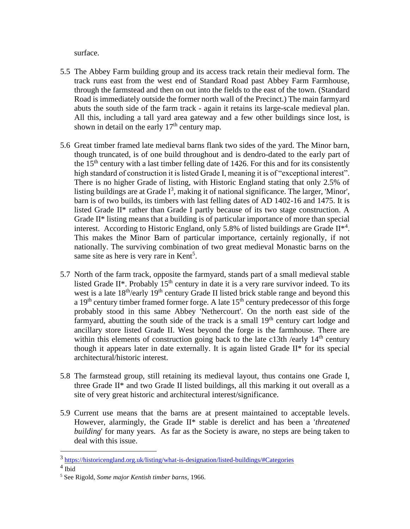surface.

- 5.5 The Abbey Farm building group and its access track retain their medieval form. The track runs east from the west end of Standard Road past Abbey Farm Farmhouse, through the farmstead and then on out into the fields to the east of the town. (Standard Road is immediately outside the former north wall of the Precinct.) The main farmyard abuts the south side of the farm track - again it retains its large-scale medieval plan. All this, including a tall yard area gateway and a few other buildings since lost, is shown in detail on the early  $17<sup>th</sup>$  century map.
- 5.6 Great timber framed late medieval barns flank two sides of the yard. The Minor barn, though truncated, is of one build throughout and is dendro-dated to the early part of the  $15<sup>th</sup>$  century with a last timber felling date of 1426. For this and for its consistently high standard of construction it is listed Grade I, meaning it is of "exceptional interest". There is no higher Grade of listing, with Historic England stating that only 2.5% of listing buildings are at Grade  $I^3$ , making it of national significance. The larger, 'Minor', barn is of two builds, its timbers with last felling dates of AD 1402-16 and 1475. It is listed Grade II\* rather than Grade I partly because of its two stage construction. A Grade II\* listing means that a building is of particular importance of more than special interest. According to Historic England, only 5.8% of listed buildings are Grade  $II^{*4}$ . This makes the Minor Barn of particular importance, certainly regionally, if not nationally. The surviving combination of two great medieval Monastic barns on the same site as here is very rare in Kent<sup>5</sup>.
- 5.7 North of the farm track, opposite the farmyard, stands part of a small medieval stable listed Grade II\*. Probably  $15<sup>th</sup>$  century in date it is a very rare survivor indeed. To its west is a late 18<sup>th</sup>/early 19<sup>th</sup> century Grade II listed brick stable range and beyond this a  $19<sup>th</sup>$  century timber framed former forge. A late  $15<sup>th</sup>$  century predecessor of this forge probably stood in this same Abbey 'Nethercourt'. On the north east side of the farmyard, abutting the south side of the track is a small  $19<sup>th</sup>$  century cart lodge and ancillary store listed Grade II. West beyond the forge is the farmhouse. There are within this elements of construction going back to the late c13th /early  $14<sup>th</sup>$  century though it appears later in date externally. It is again listed Grade II\* for its special architectural/historic interest.
- 5.8 The farmstead group, still retaining its medieval layout, thus contains one Grade I, three Grade  $II^*$  and two Grade II listed buildings, all this marking it out overall as a site of very great historic and architectural interest/significance.
- 5.9 Current use means that the barns are at present maintained to acceptable levels. However, alarmingly, the Grade II\* stable is derelict and has been a '*threatened building* for many years. As far as the Society is aware, no steps are being taken to deal with this issue.

<sup>3</sup> <https://historicengland.org.uk/listing/what-is-designation/listed-buildings/#Categories>

<sup>4</sup> Ibid

<sup>5</sup> See Rigold, *Some major Kentish timber barns*, 1966.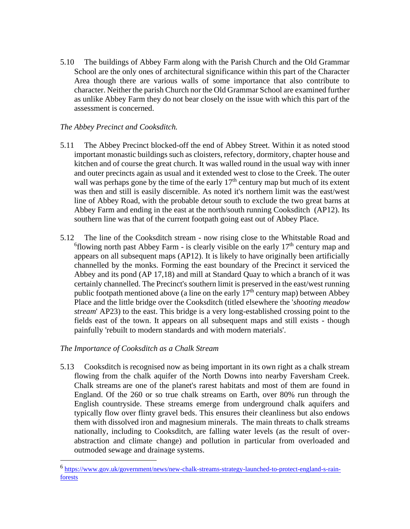5.10 The buildings of Abbey Farm along with the Parish Church and the Old Grammar School are the only ones of architectural significance within this part of the Character Area though there are various walls of some importance that also contribute to character. Neither the parish Church nor the Old Grammar School are examined further as unlike Abbey Farm they do not bear closely on the issue with which this part of the assessment is concerned.

## *The Abbey Precinct and Cooksditch.*

- 5.11 The Abbey Precinct blocked-off the end of Abbey Street. Within it as noted stood important monastic buildings such as cloisters, refectory, dormitory, chapter house and kitchen and of course the great church. It was walled round in the usual way with inner and outer precincts again as usual and it extended west to close to the Creek. The outer wall was perhaps gone by the time of the early  $17<sup>th</sup>$  century map but much of its extent was then and still is easily discernible. As noted it's northern limit was the east/west line of Abbey Road, with the probable detour south to exclude the two great barns at Abbey Farm and ending in the east at the north/south running Cooksditch (AP12). Its southern line was that of the current footpath going east out of Abbey Place.
- 5.12 The line of the Cooksditch stream now rising close to the Whitstable Road and  $6$ flowing north past Abbey Farm - is clearly visible on the early  $17<sup>th</sup>$  century map and appears on all subsequent maps (AP12). It is likely to have originally been artificially channelled by the monks. Forming the east boundary of the Precinct it serviced the Abbey and its pond (AP 17,18) and mill at Standard Quay to which a branch of it was certainly channelled. The Precinct's southern limit is preserved in the east/west running public footpath mentioned above (a line on the early  $17<sup>th</sup>$  century map) between Abbey Place and the little bridge over the Cooksditch (titled elsewhere the '*shooting meadow stream*' AP23) to the east. This bridge is a very long-established crossing point to the fields east of the town. It appears on all subsequent maps and still exists - though painfully 'rebuilt to modern standards and with modern materials'.

#### *The Importance of Cooksditch as a Chalk Stream*

5.13 Cooksditch is recognised now as being important in its own right as a chalk stream flowing from the chalk aquifer of the North Downs into nearby Faversham Creek. Chalk streams are one of the planet's rarest habitats and most of them are found in England. Of the 260 or so true chalk streams on Earth, over 80% run through the English countryside. These streams emerge from underground chalk aquifers and typically flow over flinty gravel beds. This ensures their cleanliness but also endows them with dissolved iron and magnesium minerals. The main threats to chalk streams nationally, including to Cooksditch, are falling water levels (as the result of overabstraction and climate change) and pollution in particular from overloaded and outmoded sewage and drainage systems.

<sup>6</sup> [https://www.gov.uk/government/news/new-chalk-streams-strategy-launched-to-protect-england-s-rain](https://www.gov.uk/government/news/new-chalk-streams-strategy-launched-to-protect-england-s-rain-forests)[forests](https://www.gov.uk/government/news/new-chalk-streams-strategy-launched-to-protect-england-s-rain-forests)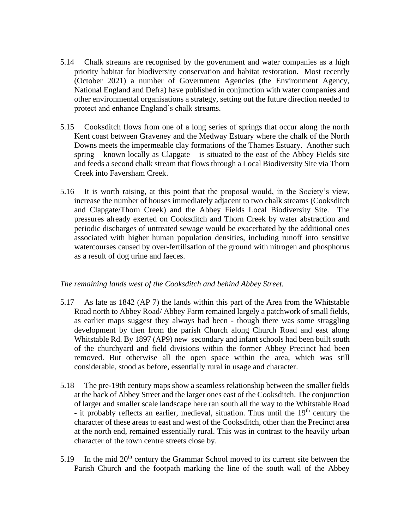- 5.14 Chalk streams are recognised by the government and water companies as a high priority habitat for biodiversity conservation and habitat restoration. Most recently (October 2021) a number of Government Agencies (the Environment Agency, National England and Defra) have published in conjunction with water companies and other environmental organisations a strategy, setting out the future direction needed to protect and enhance England's chalk streams.
- 5.15 Cooksditch flows from one of a long series of springs that occur along the north Kent coast between Graveney and the Medway Estuary where the chalk of the North Downs meets the impermeable clay formations of the Thames Estuary. Another such spring – known locally as Clapgate – is situated to the east of the Abbey Fields site and feeds a second chalk stream that flows through a Local Biodiversity Site via Thorn Creek into Faversham Creek.
- 5.16 It is worth raising, at this point that the proposal would, in the Society's view, increase the number of houses immediately adjacent to two chalk streams (Cooksditch and Clapgate/Thorn Creek) and the Abbey Fields Local Biodiversity Site. The pressures already exerted on Cooksditch and Thorn Creek by water abstraction and periodic discharges of untreated sewage would be exacerbated by the additional ones associated with higher human population densities, including runoff into sensitive watercourses caused by over-fertilisation of the ground with nitrogen and phosphorus as a result of dog urine and faeces.

#### *The remaining lands west of the Cooksditch and behind Abbey Street.*

- 5.17 As late as 1842 (AP 7) the lands within this part of the Area from the Whitstable Road north to Abbey Road/ Abbey Farm remained largely a patchwork of small fields, as earlier maps suggest they always had been - though there was some straggling development by then from the parish Church along Church Road and east along Whitstable Rd. By 1897 (AP9) new secondary and infant schools had been built south of the churchyard and field divisions within the former Abbey Precinct had been removed. But otherwise all the open space within the area, which was still considerable, stood as before, essentially rural in usage and character.
- 5.18 The pre-19th century maps show a seamless relationship between the smaller fields at the back of Abbey Street and the larger ones east of the Cooksditch. The conjunction of larger and smaller scale landscape here ran south all the way to the Whitstable Road - it probably reflects an earlier, medieval, situation. Thus until the  $19<sup>th</sup>$  century the character of these areas to east and west of the Cooksditch, other than the Precinct area at the north end, remained essentially rural. This was in contrast to the heavily urban character of the town centre streets close by.
- 5.19 In the mid 20<sup>th</sup> century the Grammar School moved to its current site between the Parish Church and the footpath marking the line of the south wall of the Abbey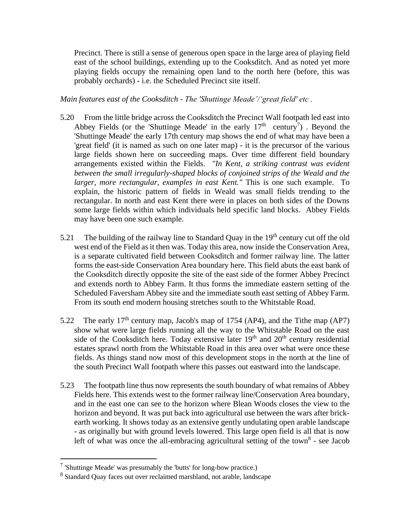Precinct. There is still a sense of generous open space in the large area of playing field east of the school buildings, extending up to the Cooksditch. And as noted yet more playing fields occupy the remaining open land to the north here (before, this was probably orchards) - i.e. the Scheduled Precinct site itself.

*Main features east of the Cooksditch - The 'Shuttinge Meade'/'great field' etc .*

- 5.20 From the little bridge across the Cooksditch the Precinct Wall footpath led east into Abbey Fields (or the 'Shuttinge Meade' in the early  $17<sup>th</sup>$  century<sup>7</sup>). Beyond the 'Shuttinge Meade' the early 17th century map shows the end of what may have been a 'great field' (it is named as such on one later map) - it is the precursor of the various large fields shown here on succeeding maps. Over time different field boundary arrangements existed within the Fields. *"In Kent, a striking contrast was evident between the small irregularly-shaped blocks of conjoined strips of the Weald and the larger, more rectangular, examples in east Kent."* This is one such example. To explain, the historic pattern of fields in Weald was small fields trending to the rectangular. In north and east Kent there were in places on both sides of the Downs some large fields within which individuals held specific land blocks. Abbey Fields may have been one such example.
- 5.21 The building of the railway line to Standard Quay in the  $19<sup>th</sup>$  century cut off the old west end of the Field as it then was. Today this area, now inside the Conservation Area, is a separate cultivated field between Cooksditch and former railway line. The latter forms the east-side Conservation Area boundary here. This field abuts the east bank of the Cooksditch directly opposite the site of the east side of the former Abbey Precinct and extends north to Abbey Farm. It thus forms the immediate eastern setting of the Scheduled Faversham Abbey site and the immediate south east setting of Abbey Farm. From its south end modern housing stretches south to the Whitstable Road.
- 5.22 The early  $17<sup>th</sup>$  century map, Jacob's map of 1754 (AP4), and the Tithe map (AP7) show what were large fields running all the way to the Whitstable Road on the east side of the Cooksditch here. Today extensive later  $19<sup>th</sup>$  and  $20<sup>th</sup>$  century residential estates sprawl north from the Whitstable Road in this area over what were once these fields. As things stand now most of this development stops in the north at the line of the south Precinct Wall footpath where this passes out eastward into the landscape.
- 5.23 The footpath line thus now represents the south boundary of what remains of Abbey Fields here. This extends west to the former railway line/Conservation Area boundary, and in the east one can see to the horizon where Blean Woods closes the view to the horizon and beyond. It was put back into agricultural use between the wars after brickearth working. It shows today as an extensive gently undulating open arable landscape - as originally but with ground levels lowered. This large open field is all that is now left of what was once the all-embracing agricultural setting of the town<sup>8</sup> - see Jacob

 $7$  'Shuttinge Meade' was presumably the 'butts' for long-bow practice.)

<sup>&</sup>lt;sup>8</sup> Standard Quay faces out over reclaimed marshland, not arable, landscape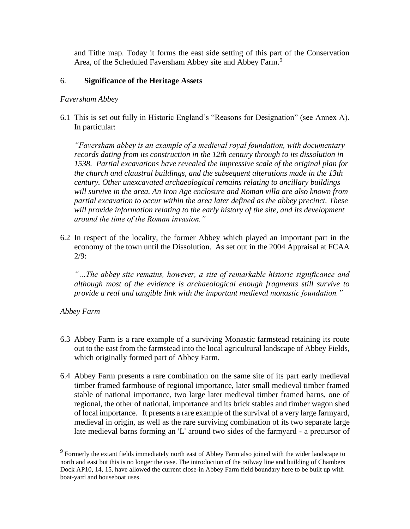and Tithe map. Today it forms the east side setting of this part of the Conservation Area, of the Scheduled Faversham Abbey site and Abbey Farm.<sup>9</sup>

### 6. **Significance of the Heritage Assets**

#### *Faversham Abbey*

6.1 This is set out fully in Historic England's "Reasons for Designation" (see Annex A). In particular:

*"Faversham abbey is an example of a medieval royal foundation, with documentary records dating from its construction in the 12th century through to its dissolution in 1538. Partial excavations have revealed the impressive scale of the original plan for the church and claustral buildings, and the subsequent alterations made in the 13th century. Other unexcavated archaeological remains relating to ancillary buildings will survive in the area. An Iron Age enclosure and Roman villa are also known from partial excavation to occur within the area later defined as the abbey precinct. These will provide information relating to the early history of the site, and its development around the time of the Roman invasion."*

6.2 In respect of the locality, the former Abbey which played an important part in the economy of the town until the Dissolution. As set out in the 2004 Appraisal at FCAA 2/9:

*"…The abbey site remains, however, a site of remarkable historic significance and although most of the evidence is archaeological enough fragments still survive to provide a real and tangible link with the important medieval monastic foundation."*

## *Abbey Farm*

- 6.3 Abbey Farm is a rare example of a surviving Monastic farmstead retaining its route out to the east from the farmstead into the local agricultural landscape of Abbey Fields, which originally formed part of Abbey Farm.
- 6.4 Abbey Farm presents a rare combination on the same site of its part early medieval timber framed farmhouse of regional importance, later small medieval timber framed stable of national importance, two large later medieval timber framed barns, one of regional, the other of national, importance and its brick stables and timber wagon shed of local importance. It presents a rare example of the survival of a very large farmyard, medieval in origin, as well as the rare surviving combination of its two separate large late medieval barns forming an 'L' around two sides of the farmyard - a precursor of

<sup>&</sup>lt;sup>9</sup> Formerly the extant fields immediately north east of Abbey Farm also joined with the wider landscape to north and east but this is no longer the case. The introduction of the railway line and building of Chambers Dock AP10, 14, 15, have allowed the current close-in Abbey Farm field boundary here to be built up with boat-yard and houseboat uses.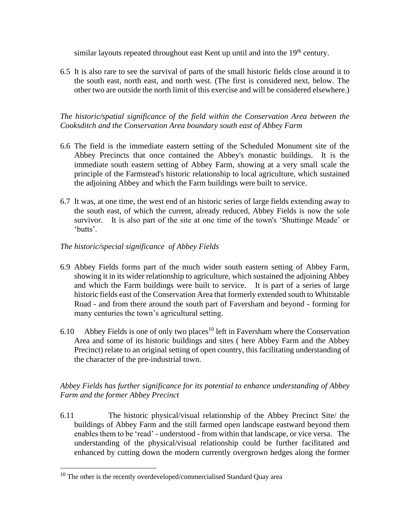similar layouts repeated throughout east Kent up until and into the  $19<sup>th</sup>$  century.

6.5 It is also rare to see the survival of parts of the small historic fields close around it to the south east, north east, and north west. (The first is considered next, below. The other two are outside the north limit of this exercise and will be considered elsewhere.)

*The historic/spatial significance of the field within the Conservation Area between the Cooksditch and the Conservation Area boundary south east of Abbey Farm* 

- 6.6 The field is the immediate eastern setting of the Scheduled Monument site of the Abbey Precincts that once contained the Abbey's monastic buildings. It is the immediate south eastern setting of Abbey Farm, showing at a very small scale the principle of the Farmstead's historic relationship to local agriculture, which sustained the adjoining Abbey and which the Farm buildings were built to service.
- 6.7 It was, at one time, the west end of an historic series of large fields extending away to the south east, of which the current, already reduced, Abbey Fields is now the sole survivor. It is also part of the site at one time of the town's 'Shuttinge Meade' or 'butts'.

## *The historic/special significance of Abbey Fields*

- 6.9 Abbey Fields forms part of the much wider south eastern setting of Abbey Farm, showing it in its wider relationship to agriculture, which sustained the adjoining Abbey and which the Farm buildings were built to service. It is part of a series of large historic fields east of the Conservation Area that formerly extended south to Whitstable Road - and from there around the south part of Faversham and beyond - forming for many centuries the town's agricultural setting.
- 6.10 Abbey Fields is one of only two places<sup>10</sup> left in Faversham where the Conservation Area and some of its historic buildings and sites ( here Abbey Farm and the Abbey Precinct) relate to an original setting of open country, this facilitating understanding of the character of the pre-industrial town.

## *Abbey Fields has further significance for its potential to enhance understanding of Abbey Farm and the former Abbey Precinct*

6.11 The historic physical/visual relationship of the Abbey Precinct Site/ the buildings of Abbey Farm and the still farmed open landscape eastward beyond them enables them to be 'read' - understood - from within that landscape, or vice versa. The understanding of the physical/visual relationship could be further facilitated and enhanced by cutting down the modern currently overgrown hedges along the former

 $10$  The other is the recently overdeveloped/commercialised Standard Quay area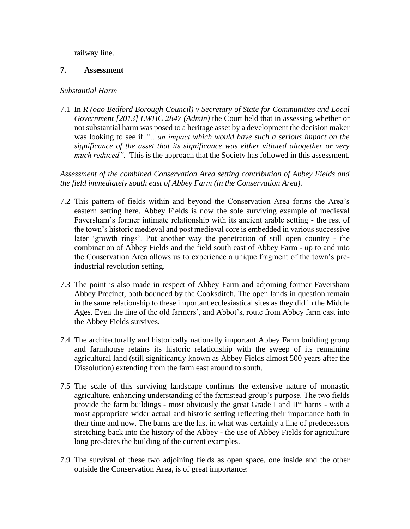railway line.

### **7. Assessment**

#### *Substantial Harm*

7.1 In *R (oao Bedford Borough Council) v Secretary of State for Communities and Local Government [2013] EWHC 2847 (Admin)* the Court held that in assessing whether or not substantial harm was posed to a heritage asset by a development the decision maker was looking to see if *"…an impact which would have such a serious impact on the significance of the asset that its significance was either vitiated altogether or very much reduced"*. This is the approach that the Society has followed in this assessment.

*Assessment of the combined Conservation Area setting contribution of Abbey Fields and the field immediately south east of Abbey Farm (in the Conservation Area).*

- 7.2 This pattern of fields within and beyond the Conservation Area forms the Area's eastern setting here. Abbey Fields is now the sole surviving example of medieval Faversham's former intimate relationship with its ancient arable setting - the rest of the town's historic medieval and post medieval core is embedded in various successive later 'growth rings'. Put another way the penetration of still open country - the combination of Abbey Fields and the field south east of Abbey Farm - up to and into the Conservation Area allows us to experience a unique fragment of the town's preindustrial revolution setting.
- 7.3 The point is also made in respect of Abbey Farm and adjoining former Faversham Abbey Precinct, both bounded by the Cooksditch. The open lands in question remain in the same relationship to these important ecclesiastical sites as they did in the Middle Ages. Even the line of the old farmers', and Abbot's, route from Abbey farm east into the Abbey Fields survives.
- 7.4 The architecturally and historically nationally important Abbey Farm building group and farmhouse retains its historic relationship with the sweep of its remaining agricultural land (still significantly known as Abbey Fields almost 500 years after the Dissolution) extending from the farm east around to south.
- 7.5 The scale of this surviving landscape confirms the extensive nature of monastic agriculture, enhancing understanding of the farmstead group's purpose. The two fields provide the farm buildings - most obviously the great Grade I and II\* barns - with a most appropriate wider actual and historic setting reflecting their importance both in their time and now. The barns are the last in what was certainly a line of predecessors stretching back into the history of the Abbey - the use of Abbey Fields for agriculture long pre-dates the building of the current examples.
- 7.9 The survival of these two adjoining fields as open space, one inside and the other outside the Conservation Area, is of great importance: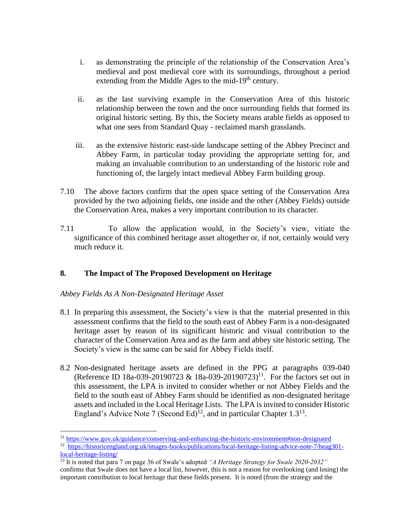- i. as demonstrating the principle of the relationship of the Conservation Area's medieval and post medieval core with its surroundings, throughout a period extending from the Middle Ages to the mid-19<sup>th</sup> century.
- ii. as the last surviving example in the Conservation Area of this historic relationship between the town and the once surrounding fields that formed its original historic setting. By this, the Society means arable fields as opposed to what one sees from Standard Quay - reclaimed marsh grasslands.
- iii. as the extensive historic east-side landscape setting of the Abbey Precinct and Abbey Farm, in particular today providing the appropriate setting for, and making an invaluable contribution to an understanding of the historic role and functioning of, the largely intact medieval Abbey Farm building group.
- 7.10 The above factors confirm that the open space setting of the Conservation Area provided by the two adjoining fields, one inside and the other (Abbey Fields) outside the Conservation Area, makes a very important contribution to its character.
- 7.11 To allow the application would, in the Society's view, vitiate the significance of this combined heritage asset altogether or, if not, certainly would very much reduce it.

## **8. The Impact of The Proposed Development on Heritage**

## *Abbey Fields As A Non-Designated Heritage Asset*

- 8.1 In preparing this assessment, the Society's view is that the material presented in this assessment confirms that the field to the south east of Abbey Farm is a non-designated heritage asset by reason of its significant historic and visual contribution to the character of the Conservation Area and as the farm and abbey site historic setting. The Society's view is the same can be said for Abbey Fields itself.
- 8.2 Non-designated heritage assets are defined in the PPG at paragraphs 039-040 (Reference ID 18a-039-20190723 & 18a-039-20190723)<sup>11</sup>. For the factors set out in this assessment, the LPA is invited to consider whether or not Abbey Fields and the field to the south east of Abbey Farm should be identified as non-designated heritage assets and included in the Local Heritage Lists. The LPA is invited to consider Historic England's Advice Note 7 (Second Ed)<sup>12</sup>, and in particular Chapter 1.3<sup>13</sup>.

<sup>11</sup> <https://www.gov.uk/guidance/conserving-and-enhancing-the-historic-environment#non-designated>

<sup>&</sup>lt;sup>12</sup> [https://historicengland.org.uk/images-books/publications/local-heritage-listing-advice-note-7/heag301](https://historicengland.org.uk/images-books/publications/local-heritage-listing-advice-note-7/heag301-local-heritage-listing/) [local-heritage-listing/](https://historicengland.org.uk/images-books/publications/local-heritage-listing-advice-note-7/heag301-local-heritage-listing/)

<sup>13</sup> It is noted that para 7 on page 36 of Swale's adopted *"A Heritage Strategy for Swale 2020-2032"* confirms that Swale does not have a local list, however, this is not a reason for overlooking (and losing) the important contribution to local heritage that these fields present. It is noted (from the strategy and the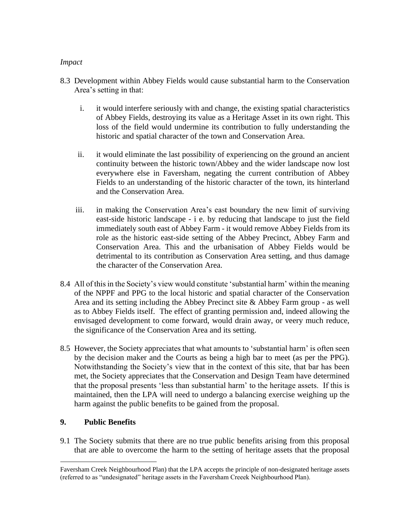#### *Impact*

- 8.3 Development within Abbey Fields would cause substantial harm to the Conservation Area's setting in that:
	- i. it would interfere seriously with and change, the existing spatial characteristics of Abbey Fields, destroying its value as a Heritage Asset in its own right. This loss of the field would undermine its contribution to fully understanding the historic and spatial character of the town and Conservation Area.
	- ii. it would eliminate the last possibility of experiencing on the ground an ancient continuity between the historic town/Abbey and the wider landscape now lost everywhere else in Faversham, negating the current contribution of Abbey Fields to an understanding of the historic character of the town, its hinterland and the Conservation Area.
	- iii. in making the Conservation Area's east boundary the new limit of surviving east-side historic landscape - i e. by reducing that landscape to just the field immediately south east of Abbey Farm - it would remove Abbey Fields from its role as the historic east-side setting of the Abbey Precinct, Abbey Farm and Conservation Area. This and the urbanisation of Abbey Fields would be detrimental to its contribution as Conservation Area setting, and thus damage the character of the Conservation Area.
- 8.4 All of this in the Society's view would constitute 'substantial harm' within the meaning of the NPPF and PPG to the local historic and spatial character of the Conservation Area and its setting including the Abbey Precinct site & Abbey Farm group - as well as to Abbey Fields itself. The effect of granting permission and, indeed allowing the envisaged development to come forward, would drain away, or veery much reduce, the significance of the Conservation Area and its setting.
- 8.5 However, the Society appreciates that what amounts to 'substantial harm' is often seen by the decision maker and the Courts as being a high bar to meet (as per the PPG). Notwithstanding the Society's view that in the context of this site, that bar has been met, the Society appreciates that the Conservation and Design Team have determined that the proposal presents 'less than substantial harm' to the heritage assets. If this is maintained, then the LPA will need to undergo a balancing exercise weighing up the harm against the public benefits to be gained from the proposal.

# **9. Public Benefits**

9.1 The Society submits that there are no true public benefits arising from this proposal that are able to overcome the harm to the setting of heritage assets that the proposal

Faversham Creek Neighbourhood Plan) that the LPA accepts the principle of non-designated heritage assets (referred to as "undesignated" heritage assets in the Faversham Creeek Neighbourhood Plan).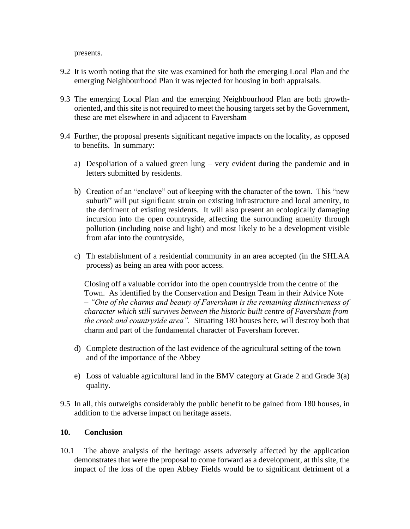presents.

- 9.2 It is worth noting that the site was examined for both the emerging Local Plan and the emerging Neighbourhood Plan it was rejected for housing in both appraisals.
- 9.3 The emerging Local Plan and the emerging Neighbourhood Plan are both growthoriented, and this site is not required to meet the housing targets set by the Government, these are met elsewhere in and adjacent to Faversham
- 9.4 Further, the proposal presents significant negative impacts on the locality, as opposed to benefits. In summary:
	- a) Despoliation of a valued green lung very evident during the pandemic and in letters submitted by residents.
	- b) Creation of an "enclave" out of keeping with the character of the town. This "new suburb" will put significant strain on existing infrastructure and local amenity, to the detriment of existing residents. It will also present an ecologically damaging incursion into the open countryside, affecting the surrounding amenity through pollution (including noise and light) and most likely to be a development visible from afar into the countryside,
	- c) Th establishment of a residential community in an area accepted (in the SHLAA process) as being an area with poor access.

Closing off a valuable corridor into the open countryside from the centre of the Town. As identified by the Conservation and Design Team in their Advice Note – *"One of the charms and beauty of Faversham is the remaining distinctiveness of character which still survives between the historic built centre of Faversham from the creek and countryside area".* Situating 180 houses here, will destroy both that charm and part of the fundamental character of Faversham forever.

- d) Complete destruction of the last evidence of the agricultural setting of the town and of the importance of the Abbey
- e) Loss of valuable agricultural land in the BMV category at Grade 2 and Grade 3(a) quality.
- 9.5 In all, this outweighs considerably the public benefit to be gained from 180 houses, in addition to the adverse impact on heritage assets.

#### **10. Conclusion**

10.1 The above analysis of the heritage assets adversely affected by the application demonstrates that were the proposal to come forward as a development, at this site, the impact of the loss of the open Abbey Fields would be to significant detriment of a